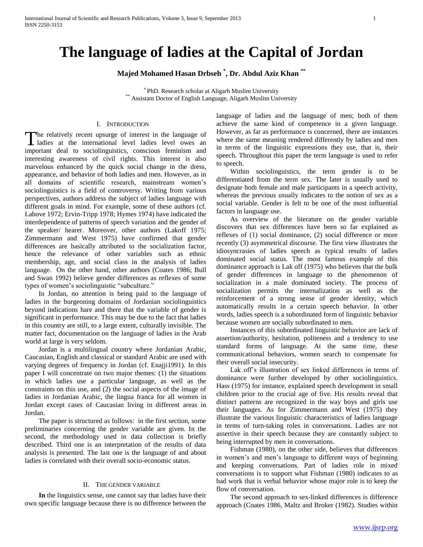# **The language of ladies at the Capital of Jordan**

**Majed Mohamed Hasan Drbseh \* , Dr. Abdul Aziz Khan \*\***

\* PhD. Research scholar at Aligarh Muslim University \*\* Assistant Doctor of English Language, Aligarh Muslim University

# I. INTRODUCTION

he relatively recent upsurge of interest in the language of The relatively recent upsurge of interest in the language of ladies at the international level ladies level owes an important deal to sociolinguistics, conscious feminism and interesting awareness of civil rights. This interest is also marvelous enhanced by the quick social change in the dress, appearance, and behavior of both ladies and men. However, as in all domains of scientific research, mainstream women's sociolinguistics is a field of controversy. Writing from various perspectives, authors address the subject of ladies language with different goals in mind. For example, some of these authors (cf. Labove 1972; Ervin-Tripp 1978; Hymes 1974) have indicated the interdependence of patterns of speech variation and the gender of the speaker/ hearer. Moreover, other authors (Lakoff 1975; Zimmermann and West 1975) have confirmed that gender differences are basically attributed to the socialization factor, hence the relevance of other variables such as ethnic membership, age, and social class in the analysis of ladies language. On the other hand, other authors (Coates 1986; Bull and Swan 1992) believe gender differences as reflexes of some types of women's sociolinguistic "subculture."

 In Jordan, no attention is being paid to the language of ladies in the burgeoning domains of Jordanian sociolinguistics beyond indications hare and there that the variable of gender is significant in performance. This may be due to the fact that ladies in this country are still, to a large extent, culturally invisible. The matter fact, documentation on the language of ladies in the Arab world at large is very seldom.

 Jordan is a multilingual country where Jordanian Arabic, Caucasian, English and classical or standard Arabic are used with varying degrees of frequency in Jordan (cf. Enajji1991). In this paper I will concentrate on two major themes: (1) the situations in which ladies use a particular language, as well as the constraints on this use, and (2) the social aspects of the image of ladies in Jordanian Arabic, the lingua franca for all women in Jordan except cases of Caucasian living in different areas in Jordan.

 The paper is structured as follows: in the first section, some preliminaries concerning the gender variable are given. In the second, the methodology used in data collection is briefly described. Third one is an interpretation of the results of data analysis is presented. The last one is the language of and about ladies is correlated with their overall socio-economic status.

#### II. THE GENDER VARIABLE

 **In** the linguistics sense, one cannot say that ladies have their own specific language because there is no difference between the language of ladies and the language of men; both of them achieve the same kind of competence in a given language. However, as far as performance is concerned, there are instances where the same meaning rendered differently by ladies and men in terms of the linguistic expressions they use, that is, their speech. Throughout this paper the term language is used to refer to speech.

 Within sociolinguistics, the term gender is to be differentiated from the term sex. The later is usually used to designate both female and male participants in a speech activity, whereas the previous usually indicates to the notion of sex as a social variable. Gender is felt to be one of the most influential factors in language use.

 As overview of the literature on the gender variable discovers that sex differences have been so far explained as reflexes of (1) social dominance, (2) social difference or more recently (3) asymmetrical discourse. The first view illustrates the idiosyncrasies of ladies speech as typical results of ladies dominated social status. The most famous example of this dominance approach is Lak off (1975) who believes that the bulk of gender differences in language to the phenomenon of socialization in a male dominated society. The process of socialization permits the internalization as well as the reinforcement of a strong sense of gender identity, which automatically results in a certain speech behavior. In other words, ladies speech is a subordinated form of linguistic behavior because women are socially subordinated to men.

 Instances of this subordinated linguistic behavior are lack of assertion/authority, hesitation, politeness and a tendency to use standard forms of language. At the same time, these communicational behaviors, women search to compensate for their overall social insecurity.

 Lak off's illustration of sex linked differences in terms of dominance were further developed by other sociolinguistics. Hass (1975) for instance, explained speech development in small children prior to the crucial age of five. His results reveal that distinct patterns are recognized in the way boys and girls use their languages. As for Zimmermann and West (1975) they illustrate the various linguistic characteristics of ladies language in terms of turn-taking roles in conversations. Ladies are not assertive in their speech because they are constantly subject to being interrupted by men in conversations.

 Fishman (1980), on the other side, believes that differences in women's and men's language to different ways of beginning and keeping conversations. Part of ladies role in mixed conversations is to support what Fishman (1980) indicates to as bad work that is verbal behavior whose major role is to keep the flow of conversation.

 The second approach to sex-linked differences is difference approach (Coates 1986, Maltz and Broker (1982). Studies within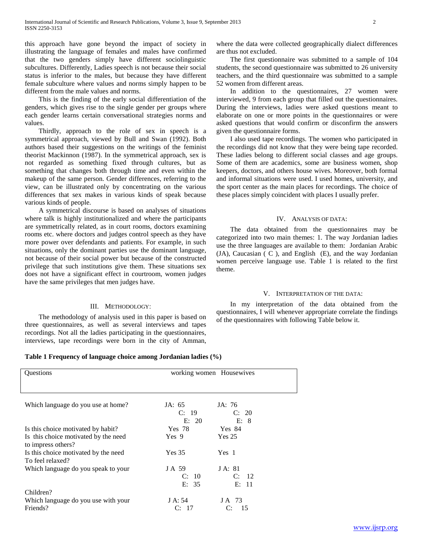this approach have gone beyond the impact of society in illustrating the language of females and males have confirmed that the two genders simply have different sociolinguistic subcultures. Differently, Ladies speech is not because their social status is inferior to the males, but because they have different female subculture where values and norms simply happen to be different from the male values and norms.

 This is the finding of the early social differentiation of the genders, which gives rise to the single gender per groups where each gender learns certain conversational strategies norms and values.

 Thirdly, approach to the role of sex in speech is a symmetrical approach, viewed by Bull and Swan (1992). Both authors based their suggestions on the writings of the feminist theorist Mackinnon (1987). In the symmetrical approach, sex is not regarded as something fixed through cultures, but as something that changes both through time and even within the makeup of the same person. Gender differences, referring to the view, can be illustrated only by concentrating on the various differences that sex makes in various kinds of speak because various kinds of people.

 A symmetrical discourse is based on analyses of situations where talk is highly institutionalized and where the participants are symmetrically related, as in court rooms, doctors examining rooms etc. where doctors and judges control speech as they have more power over defendants and patients. For example, in such situations, only the dominant parties use the dominant language, not because of their social power but because of the constructed privilege that such institutions give them. These situations sex does not have a significant effect in courtroom, women judges have the same privileges that men judges have.

# III. METHODOLOGY:

 The methodology of analysis used in this paper is based on three questionnaires, as well as several interviews and tapes recordings. Not all the ladies participating in the questionnaires, interviews, tape recordings were born in the city of Amman,

**Table 1 Frequency of language choice among Jordanian ladies (%)**

| <b>Ouestions</b>                                           |         | working women Housewives |
|------------------------------------------------------------|---------|--------------------------|
|                                                            |         |                          |
| Which language do you use at home?                         | JA: 65  | JA: 76                   |
|                                                            | C: 19   | C: 20                    |
|                                                            | E: 20   | E: 8                     |
| Is this choice motivated by habit?                         | Yes 78  | <b>Yes</b> 84            |
| Is this choice motivated by the need<br>to impress others? | Yes 9   | <b>Yes 25</b>            |
| Is this choice motivated by the need<br>To feel relaxed?   | Yes 35  | Yes 1                    |
| Which language do you speak to your                        | JA 59   | J A: 81                  |
|                                                            | C: 10   | C: 12                    |
|                                                            | E: 35   | E: 11                    |
| Children?                                                  |         |                          |
| Which language do you use with your                        | J A: 54 | JA 73                    |
| Friends?                                                   | C: 17   | -15<br>C:                |

where the data were collected geographically dialect differences are thus not excluded.

 The first questionnaire was submitted to a sample of 104 students, the second questionnaire was submitted to 26 university teachers, and the third questionnaire was submitted to a sample 52 women from different areas.

 In addition to the questionnaires, 27 women were interviewed, 9 from each group that filled out the questionnaires. During the interviews, ladies were asked questions meant to elaborate on one or more points in the questionnaires or were asked questions that would confirm or disconfirm the answers given the questionnaire forms.

 I also used tape recordings. The women who participated in the recordings did not know that they were being tape recorded. These ladies belong to different social classes and age groups. Some of them are academics, some are business women, shop keepers, doctors, and others house wives. Moreover, both formal and informal situations were used. I used homes, university, and the sport center as the main places for recordings. The choice of these places simply coincident with places I usually prefer.

## IV. ANALYSIS OF DATA:

 The data obtained from the questionnaires may be categorized into two main themes: 1. The way Jordanian ladies use the three languages are available to them: Jordanian Arabic  $(JA)$ , Caucasian  $( C )$ , and English  $( E )$ , and the way Jordanian women perceive language use. Table 1 is related to the first theme.

### V. INTERPRETATION OF THE DATA:

 In my interpretation of the data obtained from the questionnaires, I will whenever appropriate correlate the findings of the questionnaires with following Table below it.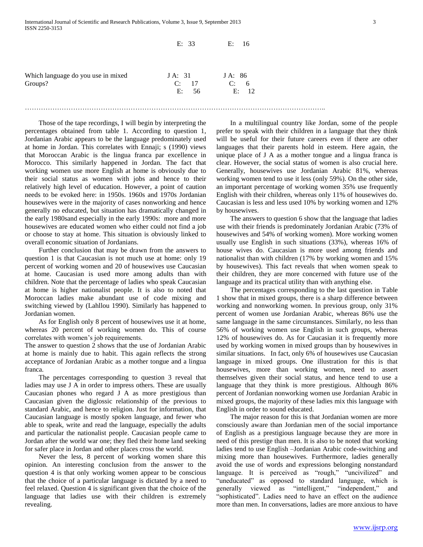|                                               | E: 33                           | E:<br>-16                       |
|-----------------------------------------------|---------------------------------|---------------------------------|
| Which language do you use in mixed<br>Groups? | J A: 31<br>C:<br>17<br>E:<br>56 | JA: 86<br>C:<br>- 6<br>12<br>E: |

…………………………………………………………………………………………………………………..

 Those of the tape recordings, I will begin by interpreting the percentages obtained from table 1. According to question 1, Jordanian Arabic appears to be the language predominately used at home in Jordan. This correlates with Ennaji; s (1990) views that Moroccan Arabic is the lingua franca par excellence in Morocco. This similarly happened in Jordan. The fact that working women use more English at home is obviously due to their social status as women with jobs and hence to their relatively high level of education. However, a point of caution needs to be evoked here: in 1950s. 1960s and 1970s Jordanian housewives were in the majority of cases nonworking and hence generally no educated, but situation has dramatically changed in the early 1980sand especially in the early 1990s: more and more housewives are educated women who either could not find a job or choose to stay at home. This situation is obviously linked to overall economic situation of Jordanians.

 Further conclusion that may be drawn from the answers to question 1 is that Caucasian is not much use at home: only 19 percent of working women and 20 of housewives use Caucasian at home. Caucasian is used more among adults than with children. Note that the percentage of ladies who speak Caucasian at home is higher nationalist people. It is also to noted that Moroccan ladies make abundant use of code mixing and switching viewed by (Lahllou 1990). Similarly has happened to Jordanian women.

 As for English only 8 percent of housewives use it at home, whereas 20 percent of working women do. This of course correlates with women's job requirements.

The answer to question 2 shows that the use of Jordanian Arabic at home is mainly due to habit. This again reflects the strong acceptance of Jordanian Arabic as a mother tongue and a lingua franca.

 The percentages corresponding to question 3 reveal that ladies may use J A in order to impress others. These are usually Caucasian phones who regard J A as more prestigious than Caucasian given the diglossic relationship of the previous to standard Arabic, and hence to religion. Just for information, that Caucasian language is mostly spoken language, and fewer who able to speak, write and read the language, especially the adults and particular the nationalist people. Caucasian people came to Jordan after the world war one; they fled their home land seeking for safer place in Jordan and other places cross the world.

 Never the less, 8 percent of working women share this opinion. An interesting conclusion from the answer to the question 4 is that only working women appear to be conscious that the choice of a particular language is dictated by a need to feel relaxed. Question 4 is significant given that the choice of the language that ladies use with their children is extremely revealing.

 In a multilingual country like Jordan, some of the people prefer to speak with their children in a language that they think will be useful for their future careers even if there are other languages that their parents hold in esteem. Here again, the unique place of J A as a mother tongue and a lingua franca is clear. However, the social status of women is also crucial here. Generally, housewives use Jordanian Arabic 81%, whereas working women tend to use it less (only 59%). On the other side, an important percentage of working women 35% use frequently English with their children, whereas only 11% of housewives do. Caucasian is less and less used 10% by working women and 12% by housewives.

 The answers to question 6 show that the language that ladies use with their friends is predominately Jordanian Arabic (73% of housewives and 54% of working women). More working women usually use English in such situations (33%), whereas 16% of house wives do. Caucasian is more used among friends and nationalist than with children (17% by working women and 15% by housewives). This fact reveals that when women speak to their children, they are more concerned with future use of the language and its practical utility than with anything else.

 The percentages corresponding to the last question in Table 1 show that in mixed groups, there is a sharp difference between working and nonworking women. In previous group, only 31% percent of women use Jordanian Arabic, whereas 86% use the same language in the same circumstances. Similarly, no less than 56% of working women use English in such groups, whereas 12% of housewives do. As for Caucasian it is frequently more used by working women in mixed groups than by housewives in similar situations. In fact, only 6% of housewives use Caucasian language in mixed groups. One illustration for this is that housewives, more than working women, need to assert themselves given their social status, and hence tend to use a language that they think is more prestigious. Although 86% percent of Jordanian nonworking women use Jordanian Arabic in mixed groups, the majority of these ladies mix this language with English in order to sound educated.

 The major reason for this is that Jordanian women are more consciously aware than Jordanian men of the social importance of English as a prestigious language because they are more in need of this prestige than men. It is also to be noted that working ladies tend to use English –Jordanian Arabic code-switching and mixing more than housewives. Furthermore, ladies generally avoid the use of words and expressions belonging nonstandard language. It is perceived as "rough," "uncivilized" and "uneducated" as opposed to standard language, which is generally viewed as "intelligent," "independent," and "sophisticated". Ladies need to have an effect on the audience more than men. In conversations, ladies are more anxious to have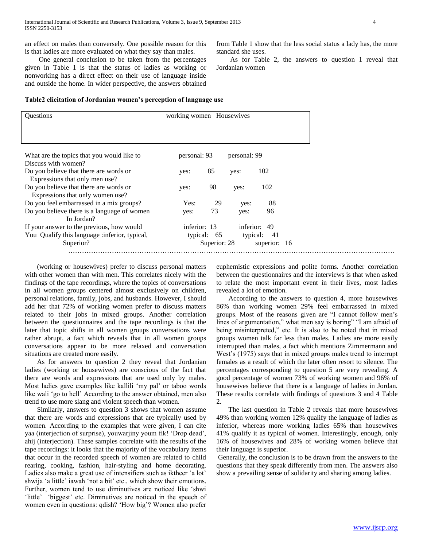an effect on males than conversely. One possible reason for this is that ladies are more evaluated on what they say than males.

 One general conclusion to be taken from the percentages given in Table 1 is that the status of ladies as working or nonworking has a direct effect on their use of language inside and outside the home. In wider perspective, the answers obtained

from Table 1 show that the less social status a lady has, the more standard she uses.

 As for Table 2, the answers to question 1 reveal that Jordanian women

## **Table2 elicitation of Jordanian women's perception of language use**

| <b>Ouestions</b>                                          | working women Housewives     |    |      |              |  |  |
|-----------------------------------------------------------|------------------------------|----|------|--------------|--|--|
|                                                           |                              |    |      |              |  |  |
|                                                           |                              |    |      |              |  |  |
| What are the topics that you would like to                | personal: 99<br>personal: 93 |    |      |              |  |  |
| Discuss with women?                                       |                              |    |      |              |  |  |
| Do you believe that there are words or                    | yes:                         | 85 | yes: | 102          |  |  |
| Expressions that only men use?                            |                              |    |      |              |  |  |
| Do you believe that there are words or                    | yes:                         | 98 | yes: | 102          |  |  |
| Expressions that only women use?                          |                              |    |      |              |  |  |
| Do you feel embarrassed in a mix groups?                  | Yes:                         | 29 | yes: | 88           |  |  |
| Do you believe there is a language of women<br>In Jordan? | yes:                         | 73 | yes: | 96           |  |  |
| If your answer to the previous, how would                 | inferior: 13                 |    |      | inferior: 49 |  |  |
| You Qualify this language : inferior, typical,            | typical: $65$<br>typical: 41 |    |      |              |  |  |
| Superior?                                                 | superior: 16<br>Superior: 28 |    |      |              |  |  |

 (working or housewives) prefer to discuss personal matters with other women than with men. This correlates nicely with the findings of the tape recordings, where the topics of conversations in all women groups centered almost exclusively on children, personal relations, family, jobs, and husbands. However, I should add her that 72% of working women prefer to discuss matters related to their jobs in mixed groups. Another correlation between the questionnaires and the tape recordings is that the later that topic shifts in all women groups conversations were rather abrupt, a fact which reveals that in all women groups conversations appear to be more relaxed and conversation situations are created more easily.

 As for answers to question 2 they reveal that Jordanian ladies (working or housewives) are conscious of the fact that there are words and expressions that are used only by males. Most ladies gave examples like kallili 'my pal' or taboo words like wali 'go to hell' According to the answer obtained, men also trend to use more slang and violent speech than women.

 Similarly, answers to question 3 shows that women assume that there are words and expressions that are typically used by women. According to the examples that were given, I can cite yaa (interjection of surprise), youwarjiny youm fik! 'Drop dead', ahij (interjection). These samples correlate with the results of the tape recordings: it looks that the majority of the vocabulary items that occur in the recorded speech of women are related to child rearing, cooking, fashion, hair-styling and home decorating. Ladies also make a great use of intensifiers such as iktheer 'a lot' shwija 'a little' iawah 'not a bit' etc., which show their emotions. Further, women tend to use diminutives are noticed like 'shwi 'little' 'biggest' etc. Diminutives are noticed in the speech of women even in questions: qdish? 'How big'? Women also prefer

euphemistic expressions and polite forms. Another correlation between the questionnaires and the interviews is that when asked to relate the most important event in their lives, most ladies revealed a lot of emotion.

 According to the answers to question 4, more housewives 86% than working women 29% feel embarrassed in mixed groups. Most of the reasons given are "I cannot follow men's lines of argumentation," what men say is boring" "I am afraid of being misinterpreted," etc. It is also to be noted that in mixed groups women talk far less than males. Ladies are more easily interrupted than males, a fact which mentions Zimmermann and West's (1975) says that in mixed groups males trend to interrupt females as a result of which the later often resort to silence. The percentages corresponding to question 5 are very revealing. A good percentage of women 73% of working women and 96% of housewives believe that there is a language of ladies in Jordan. These results correlate with findings of questions 3 and 4 Table 2.

 The last question in Table 2 reveals that more housewives 49% than working women 12% qualify the language of ladies as inferior, whereas more working ladies 65% than housewives 41% qualify it as typical of women. Interestingly, enough, only 16% of housewives and 28% of working women believe that their language is superior.

Generally, the conclusion is to be drawn from the answers to the questions that they speak differently from men. The answers also show a prevailing sense of solidarity and sharing among ladies.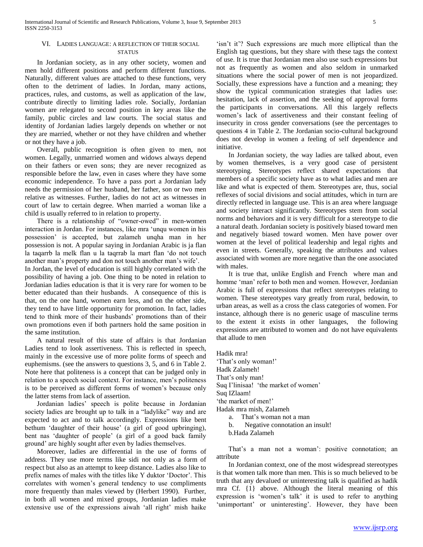# VI. LADIES LANGUAGE: A REFLECTION OF THEIR SOCIAL **STATUS**

 In Jordanian society, as in any other society, women and men hold different positions and perform different functions. Naturally, different values are attached to these functions, very often to the detriment of ladies. In Jordan, many actions, practices, rules, and customs, as well as application of the law, contribute directly to limiting ladies role. Socially, Jordanian women are relegated to second position in key areas like the family, public circles and law courts. The social status and identity of Jordanian ladies largely depends on whether or not they are married, whether or not they have children and whether or not they have a job.

 Overall, public recognition is often given to men, not women. Legally, unmarried women and widows always depend on their fathers or even sons; they are never recognized as responsible before the law, even in cases where they have some economic independence. To have a pass port a Jordanian lady needs the permission of her husband, her father, son or two men relative as witnesses. Further, ladies do not act as witnesses in court of law to certain degree. When married a woman like a child is usually referred to in relation to property.

 There is a relationship of "owner-owed" in men-women interaction in Jordan. For instances, like mra 'unqu women in his possession' is accepted, but zalameh unqha man in her possession is not. A popular saying in Jordanian Arabic is ja flan la taqarrb la melk flan u la taqrrab la mart flan 'do not touch another man's property and don not touch another man's wife'.

In Jordan, the level of education is still highly correlated with the possibility of having a job. One thing to be noted in relation to Jordanian ladies education is that it is very rare for women to be better educated than their husbands. A consequence of this is that, on the one hand, women earn less, and on the other side, they tend to have little opportunity for promotion. In fact, ladies tend to think more of their husbands' promotions than of their own promotions even if both partners hold the same position in the same institution.

 A natural result of this state of affairs is that Jordanian Ladies tend to look assertiveness. This is reflected in speech, mainly in the excessive use of more polite forms of speech and euphemisms. (see the answers to questions 3, 5, and 6 in Table 2. Note here that politeness is a concept that can be judged only in relation to a speech social context. For instance, men's politeness is to be perceived as different forms of women's because only the latter stems from lack of assertion.

 Jordanian ladies' speech is polite because in Jordanian society ladies are brought up to talk in a "ladylike" way and are expected to act and to talk accordingly. Expressions like bent bethum 'daughter of their house' (a girl of good upbringing), bent nas 'daughter of people' (a girl of a good back family ground' are highly sought after even by ladies themselves.

 Moreover, ladies are differential in the use of forms of address. They use more terms like sidi not only as a form of respect but also as an attempt to keep distance. Ladies also like to prefix names of males with the titles like Y duktor 'Doctor'. This correlates with women's general tendency to use compliments more frequently than males viewed by (Herbert 1990). Further, in both all women and mixed groups, Jordanian ladies make extensive use of the expressions aiwah 'all right' mish haike

'isn't it'? Such expressions are much more elliptical than the English tag questions, but they share with these tags the context of use. It is true that Jordanian men also use such expressions but not as frequently as women and also seldom in unmarked situations where the social power of men is not jeopardized. Socially, these expressions have a function and a meaning; they show the typical communication strategies that ladies use: hesitation, lack of assertion, and the seeking of approval forms the participants in conversations. All this largely reflects women's lack of assertiveness and their constant feeling of insecurity in cross gender conversations (see the percentages to questions 4 in Table 2. The Jordanian socio-cultural background does not develop in women a feeling of self dependence and initiative.

 In Jordanian society, the way ladies are talked about, even by women themselves, is a very good case of persistent stereotyping. Stereotypes reflect shared expectations that members of a specific society have as to what ladies and men are like and what is expected of them. Stereotypes are, thus, social reflexes of social divisions and social attitudes, which in turn are directly reflected in language use. This is an area where language and society interact significantly. Stereotypes stem from social norms and behaviors and it is very difficult for a stereotype to die a natural death. Jordanian society is positively biased toward men and negatively biased toward women. Men have power over women at the level of political leadership and legal rights and even in streets. Generally, speaking the attributes and values associated with women are more negative than the one associated with males.

 It is true that, unlike English and French where man and homme 'man' refer to both men and women. However, Jordanian Arabic is full of expressions that reflect stereotypes relating to women. These stereotypes vary greatly from rural, bedowin, to urban areas, as well as a cross the class categories of women. For instance, although there is no generic usage of masculine terms to the extent it exists in other languages, the following expressions are attributed to women and do not have equivalents that allude to men

Hadik mra! 'That's only woman!' Hadk Zalameh! That's only man! Suq I'linisaa! 'the market of women' Suq IZlaam! 'the market of men!' Hadak mra mish, Zalameh a. That's woman not a man b. Negative connotation an insult!

b.Hada Zalameh

 That's a man not a woman': positive connotation; an attribute

 In Jordanian context, one of the most widespread stereotypes is that women talk more than men. This is so much believed to be truth that any devalued or uninteresting talk is qualified as hadik mra Cf. {1} above. Although the literal meaning of this expression is 'women's talk' it is used to refer to anything 'unimportant' or uninteresting'. However, they have been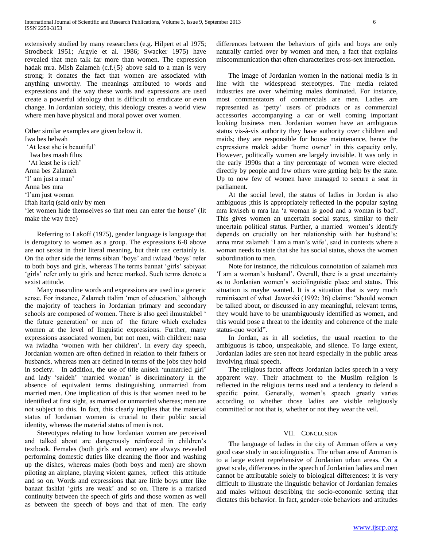extensively studied by many researchers (e.g. Hilpert et al 1975; Strodbeck 1951; Argyle et al. 1986; Swacker 1975) have revealed that men talk far more than women. The expression hadak mra. Mish Zalameh (c.f.{5} above said to a man is very strong; it donates the fact that women are associated with anything unworthy. The meanings attributed to words and expressions and the way these words and expressions are used create a powerful ideology that is difficult to eradicate or even change. In Jordanian society, this ideology creates a world view where men have physical and moral power over women.

Other similar examples are given below it.

Iwa bes helwah

'At least she is beautiful'

Iwa bes maah filus

'At least he is rich'

Anna bes Zalameh

'I' am just a man'

Anna bes mra

'I'am just woman

Iftah itariq (said only by men

'let women hide themselves so that men can enter the house' (lit make the way free)

 Referring to Lakoff (1975), gender language is language that is derogatory to women as a group. The expressions 6-8 above are not sexist in their literal meaning, but their use certainly is. On the other side the terms sibian 'boys' and iwlaad 'boys' refer to both boys and girls, whereas The terms bannat 'girls' sabiyaat 'girls' refer only to girls and hence marked. Such terms denote a sexist attitude.

 Many masculine words and expressions are used in a generic sense. For instance, Zalameh ttalim 'men of education,' although the majority of teachers in Jordanian primary and secondary schools are composed of women. There is also geel ilmustakbel ' the future generation' or men of the future which excludes women at the level of linguistic expressions. Further, many expressions associated women, but not men, with children: nasa wa iwladha 'women with her children'. In every day speech, Jordanian women are often defined in relation to their fathers or husbands, whereas men are defined in terms of the jobs they hold in society. In addition, the use of title aniseh 'unmarried girl' and lady 'saideh' 'married woman' is discriminatory in the absence of equivalent terms distinguishing unmarried from married men. One implication of this is that women need to be identified at first sight, as married or unmarried whereas; men are not subject to this. In fact, this clearly implies that the material status of Jordanian women is crucial to their public social identity, whereas the material status of men is not.

 Stereotypes relating to how Jordanian women are perceived and talked about are dangerously reinforced in children's textbook. Females (both girls and women) are always revealed performing domestic duties like cleaning the floor and washing up the dishes, whereas males (both boys and men) are shown piloting an airplane, playing violent games, reflect this attitude and so on. Words and expressions that are little boys utter like banaat fashlat 'girls are weak' and so on. There is a marked continuity between the speech of girls and those women as well as between the speech of boys and that of men. The early

differences between the behaviors of girls and boys are only naturally carried over by women and men, a fact that explains miscommunication that often characterizes cross-sex interaction.

 The image of Jordanian women in the national media is in line with the widespread stereotypes. The media related industries are over whelming males dominated. For instance, most commentators of commercials are men. Ladies are represented as 'petty' users of products or as commercial accessories accompanying a car or well coming important looking business men. Jordanian women have an ambiguous status vis-à-vis authority they have authority over children and maids; they are responsible for house maintenance, hence the expressions malek addar 'home owner' in this capacity only. However, politically women are largely invisible. It was only in the early 1990s that a tiny percentage of women were elected directly by people and few others were getting help by the state. Up to now few of women have managed to secure a seat in parliament.

 At the social level, the status of ladies in Jordan is also ambiguous ;this is appropriately reflected in the popular saying mra kwiseh u mra laa 'a woman is good and a woman is bad'. This gives women an uncertain social status, similar to their uncertain political status. Further, a married women's identify depends on crucially on her relationship with her husband's: anna mrat zalameh 'I am a man's wife', said in contexts where a woman needs to state that she has social status, shows the women subordination to men.

 Note for instance, the ridiculous connotation of zalameh mra 'I am a woman's husband'. Overall, there is a great uncertainty as to Jordanian women's sociolinguistic place and status. This situation is maybe wanted. It is a situation that is very much reminiscent of what Jaworski (1992: 36) claims: "should women be talked about, or discussed in any meaningful, relevant terms, they would have to be unambiguously identified as women, and this would pose a threat to the identity and coherence of the male status-quo world".

 In Jordan, as in all societies, the usual reaction to the ambiguous is taboo, unspeakable, and silence. To large extent, Jordanian ladies are seen not heard especially in the public areas involving ritual speech.

 The religious factor affects Jordanian ladies speech in a very apparent way. Their attachment to the Muslim religion is reflected in the religious terms used and a tendency to defend a specific point. Generally, women's speech greatly varies according to whether those ladies are visible religiously committed or not that is, whether or not they wear the veil.

# VII. CONCLUSION

 **T**he language of ladies in the city of Amman offers a very good case study in sociolinguistics. The urban area of Amman is to a large extent reprehensive of Jordanian urban areas. On a great scale, differences in the speech of Jordanian ladies and men cannot be attributable solely to biological differences: it is very difficult to illustrate the linguistic behavior of Jordanian females and males without describing the socio-economic setting that dictates this behavior. In fact, gender-role behaviors and attitudes